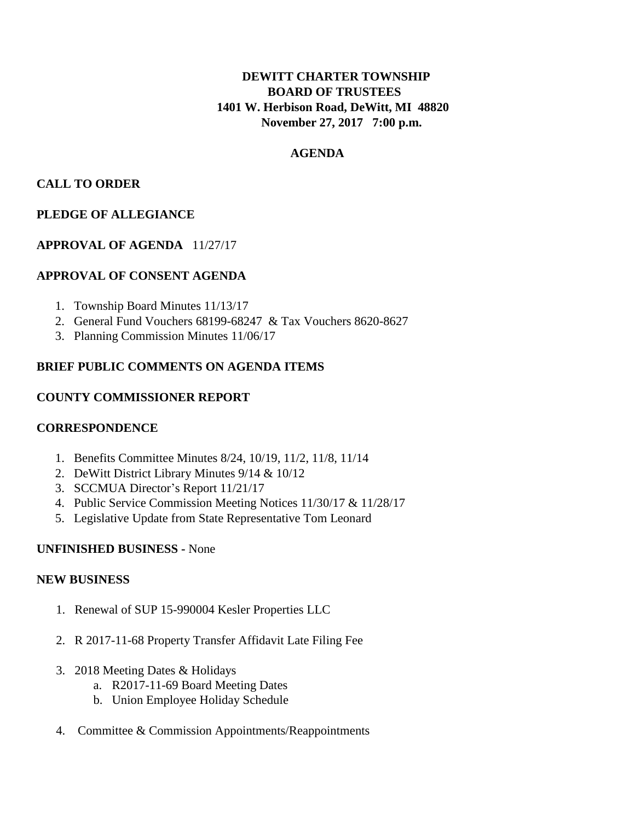# **DEWITT CHARTER TOWNSHIP BOARD OF TRUSTEES 1401 W. Herbison Road, DeWitt, MI 48820 November 27, 2017 7:00 p.m.**

## **AGENDA**

### **CALL TO ORDER**

## **PLEDGE OF ALLEGIANCE**

## **APPROVAL OF AGENDA** 11/27/17

## **APPROVAL OF CONSENT AGENDA**

- 1. Township Board Minutes 11/13/17
- 2. General Fund Vouchers 68199-68247 & Tax Vouchers 8620-8627
- 3. Planning Commission Minutes 11/06/17

## **BRIEF PUBLIC COMMENTS ON AGENDA ITEMS**

#### **COUNTY COMMISSIONER REPORT**

## **CORRESPONDENCE**

- 1. Benefits Committee Minutes 8/24, 10/19, 11/2, 11/8, 11/14
- 2. DeWitt District Library Minutes 9/14 & 10/12
- 3. SCCMUA Director's Report 11/21/17
- 4. Public Service Commission Meeting Notices 11/30/17 & 11/28/17
- 5. Legislative Update from State Representative Tom Leonard

## **UNFINISHED BUSINESS -** None

#### **NEW BUSINESS**

- 1. Renewal of SUP 15-990004 Kesler Properties LLC
- 2. R 2017-11-68 Property Transfer Affidavit Late Filing Fee
- 3. 2018 Meeting Dates & Holidays
	- a. R2017-11-69 Board Meeting Dates
	- b. Union Employee Holiday Schedule
- 4. Committee & Commission Appointments/Reappointments